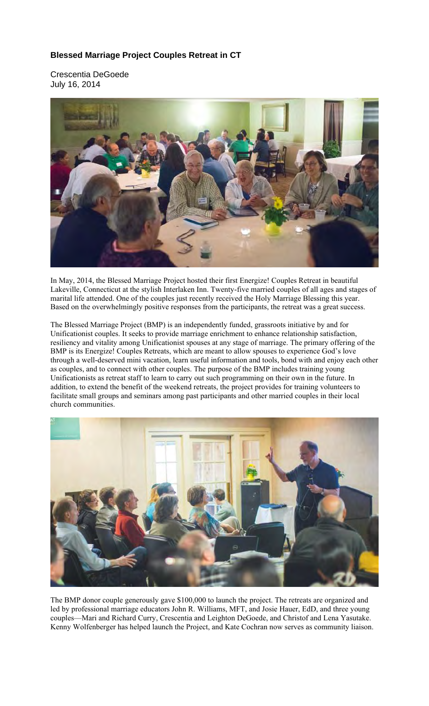## **Blessed Marriage Project Couples Retreat in CT**

Crescentia DeGoede July 16, 2014



In May, 2014, the Blessed Marriage Project hosted their first Energize! Couples Retreat in beautiful Lakeville, Connecticut at the stylish Interlaken Inn. Twenty-five married couples of all ages and stages of marital life attended. One of the couples just recently received the Holy Marriage Blessing this year. Based on the overwhelmingly positive responses from the participants, the retreat was a great success.

The Blessed Marriage Project (BMP) is an independently funded, grassroots initiative by and for Unificationist couples. It seeks to provide marriage enrichment to enhance relationship satisfaction, resiliency and vitality among Unificationist spouses at any stage of marriage. The primary offering of the BMP is its Energize! Couples Retreats, which are meant to allow spouses to experience God's love through a well-deserved mini vacation, learn useful information and tools, bond with and enjoy each other as couples, and to connect with other couples. The purpose of the BMP includes training young Unificationists as retreat staff to learn to carry out such programming on their own in the future. In addition, to extend the benefit of the weekend retreats, the project provides for training volunteers to facilitate small groups and seminars among past participants and other married couples in their local church communities.



The BMP donor couple generously gave \$100,000 to launch the project. The retreats are organized and led by professional marriage educators John R. Williams, MFT, and Josie Hauer, EdD, and three young couples—Mari and Richard Curry, Crescentia and Leighton DeGoede, and Christof and Lena Yasutake. Kenny Wolfenberger has helped launch the Project, and Kate Cochran now serves as community liaison.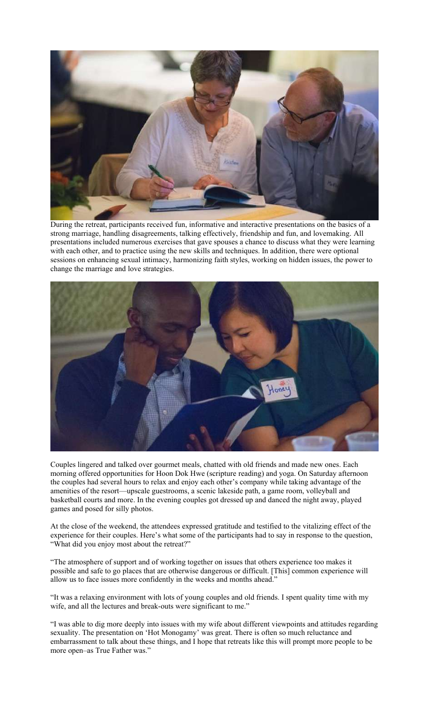

During the retreat, participants received fun, informative and interactive presentations on the basics of a strong marriage, handling disagreements, talking effectively, friendship and fun, and lovemaking. All presentations included numerous exercises that gave spouses a chance to discuss what they were learning with each other, and to practice using the new skills and techniques. In addition, there were optional sessions on enhancing sexual intimacy, harmonizing faith styles, working on hidden issues, the power to change the marriage and love strategies.



Couples lingered and talked over gourmet meals, chatted with old friends and made new ones. Each morning offered opportunities for Hoon Dok Hwe (scripture reading) and yoga. On Saturday afternoon the couples had several hours to relax and enjoy each other's company while taking advantage of the amenities of the resort—upscale guestrooms, a scenic lakeside path, a game room, volleyball and basketball courts and more. In the evening couples got dressed up and danced the night away, played games and posed for silly photos.

At the close of the weekend, the attendees expressed gratitude and testified to the vitalizing effect of the experience for their couples. Here's what some of the participants had to say in response to the question, "What did you enjoy most about the retreat?"

"The atmosphere of support and of working together on issues that others experience too makes it possible and safe to go places that are otherwise dangerous or difficult. [This] common experience will allow us to face issues more confidently in the weeks and months ahead."

"It was a relaxing environment with lots of young couples and old friends. I spent quality time with my wife, and all the lectures and break-outs were significant to me."

"I was able to dig more deeply into issues with my wife about different viewpoints and attitudes regarding sexuality. The presentation on 'Hot Monogamy' was great. There is often so much reluctance and embarrassment to talk about these things, and I hope that retreats like this will prompt more people to be more open–as True Father was."